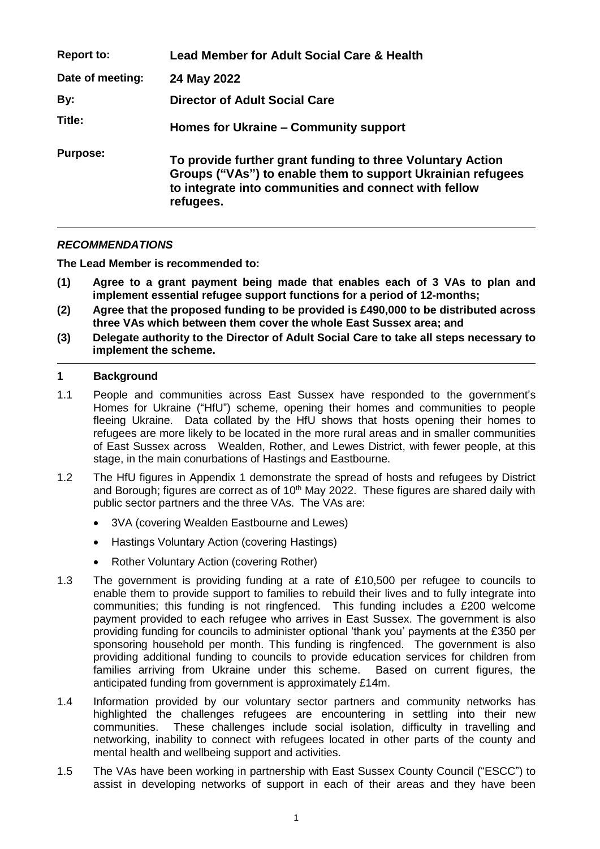| <b>Report to:</b> | Lead Member for Adult Social Care & Health                                                                                                                                                      |
|-------------------|-------------------------------------------------------------------------------------------------------------------------------------------------------------------------------------------------|
| Date of meeting:  | 24 May 2022                                                                                                                                                                                     |
| By:               | <b>Director of Adult Social Care</b>                                                                                                                                                            |
| Title:            | Homes for Ukraine – Community support                                                                                                                                                           |
| <b>Purpose:</b>   | To provide further grant funding to three Voluntary Action<br>Groups ("VAs") to enable them to support Ukrainian refugees<br>to integrate into communities and connect with fellow<br>refugees. |

# *RECOMMENDATIONS*

**The Lead Member is recommended to:**

- **(1) Agree to a grant payment being made that enables each of 3 VAs to plan and implement essential refugee support functions for a period of 12-months;**
- **(2) Agree that the proposed funding to be provided is £490,000 to be distributed across three VAs which between them cover the whole East Sussex area; and**
- **(3) Delegate authority to the Director of Adult Social Care to take all steps necessary to implement the scheme.**

## **1 Background**

- 1.1 People and communities across East Sussex have responded to the government's Homes for Ukraine ("HfU") scheme, opening their homes and communities to people fleeing Ukraine. Data collated by the HfU shows that hosts opening their homes to refugees are more likely to be located in the more rural areas and in smaller communities of East Sussex across Wealden, Rother, and Lewes District, with fewer people, at this stage, in the main conurbations of Hastings and Eastbourne.
- 1.2 The HfU figures in Appendix 1 demonstrate the spread of hosts and refugees by District and Borough; figures are correct as of 10<sup>th</sup> May 2022. These figures are shared daily with public sector partners and the three VAs. The VAs are:
	- 3VA (covering Wealden Eastbourne and Lewes)
	- Hastings Voluntary Action (covering Hastings)
	- Rother Voluntary Action (covering Rother)
- 1.3 The government is providing funding at a rate of £10,500 per refugee to councils to enable them to provide support to families to rebuild their lives and to fully integrate into communities; this funding is not ringfenced. This funding includes a £200 welcome payment provided to each refugee who arrives in East Sussex. The government is also providing funding for councils to administer optional 'thank you' payments at the £350 per sponsoring household per month. This funding is ringfenced. The government is also providing additional funding to councils to provide education services for children from families arriving from Ukraine under this scheme. Based on current figures, the anticipated funding from government is approximately £14m.
- 1.4 Information provided by our voluntary sector partners and community networks has highlighted the challenges refugees are encountering in settling into their new communities. These challenges include social isolation, difficulty in travelling and networking, inability to connect with refugees located in other parts of the county and mental health and wellbeing support and activities.
- 1.5 The VAs have been working in partnership with East Sussex County Council ("ESCC") to assist in developing networks of support in each of their areas and they have been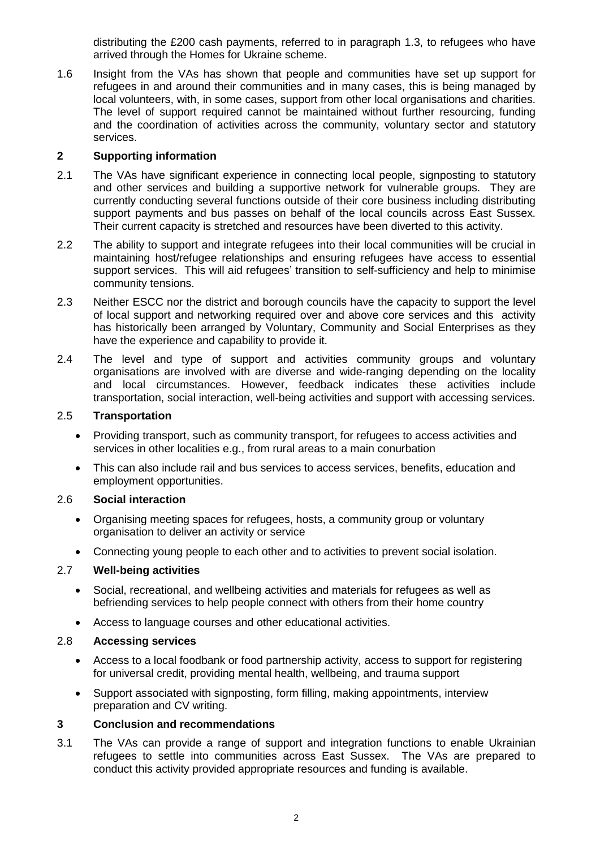distributing the £200 cash payments, referred to in paragraph 1.3, to refugees who have arrived through the Homes for Ukraine scheme.

1.6 Insight from the VAs has shown that people and communities have set up support for refugees in and around their communities and in many cases, this is being managed by local volunteers, with, in some cases, support from other local organisations and charities. The level of support required cannot be maintained without further resourcing, funding and the coordination of activities across the community, voluntary sector and statutory services.

## **2 Supporting information**

- 2.1 The VAs have significant experience in connecting local people, signposting to statutory and other services and building a supportive network for vulnerable groups. They are currently conducting several functions outside of their core business including distributing support payments and bus passes on behalf of the local councils across East Sussex. Their current capacity is stretched and resources have been diverted to this activity.
- 2.2 The ability to support and integrate refugees into their local communities will be crucial in maintaining host/refugee relationships and ensuring refugees have access to essential support services. This will aid refugees' transition to self-sufficiency and help to minimise community tensions.
- 2.3 Neither ESCC nor the district and borough councils have the capacity to support the level of local support and networking required over and above core services and this activity has historically been arranged by Voluntary, Community and Social Enterprises as they have the experience and capability to provide it.
- 2.4 The level and type of support and activities community groups and voluntary organisations are involved with are diverse and wide-ranging depending on the locality and local circumstances. However, feedback indicates these activities include transportation, social interaction, well-being activities and support with accessing services.

## 2.5 **Transportation**

- Providing transport, such as community transport, for refugees to access activities and services in other localities e.g., from rural areas to a main conurbation
- This can also include rail and bus services to access services, benefits, education and employment opportunities.

#### 2.6 **Social interaction**

- Organising meeting spaces for refugees, hosts, a community group or voluntary organisation to deliver an activity or service
- Connecting young people to each other and to activities to prevent social isolation.

# 2.7 **Well-being activities**

- Social, recreational, and wellbeing activities and materials for refugees as well as befriending services to help people connect with others from their home country
- Access to language courses and other educational activities.

#### 2.8 **Accessing services**

- Access to a local foodbank or food partnership activity, access to support for registering for universal credit, providing mental health, wellbeing, and trauma support
- Support associated with signposting, form filling, making appointments, interview preparation and CV writing.

## **3 Conclusion and recommendations**

3.1 The VAs can provide a range of support and integration functions to enable Ukrainian refugees to settle into communities across East Sussex. The VAs are prepared to conduct this activity provided appropriate resources and funding is available.